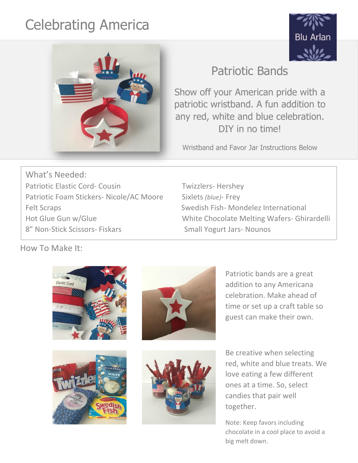## Celebrating America





## Patriotic Bands

Show off your American pride with a patriotic wristband. A fun addition to any red, white and blue celebration. DIY in no time!

Wristband and Favor Jar Instructions Below

What's Needed: Patriotic Elastic Cord- Cousin Twizzlers- Hershey Patriotic Foam Stickers- Nicole/AC Moore Sixlets *(blue)*- Frey Felt Scraps **Swedish Fish- Mondelez International** 8" Non-Stick Scissors- Fiskars Small Yogurt Jars- Nounos

Hot Glue Gun w/Glue White Chocolate Melting Wafers- Ghirardelli

How To Make It:









Patriotic bands are a great addition to any Americana celebration. Make ahead of time or set up a craft table so guest can make their own.

Be creative when selecting red, white and blue treats. We love eating a few different ones at a time. So, select candies that pair well together.

Note: Keep favors including chocolate in a cool place to avoid a big melt down.